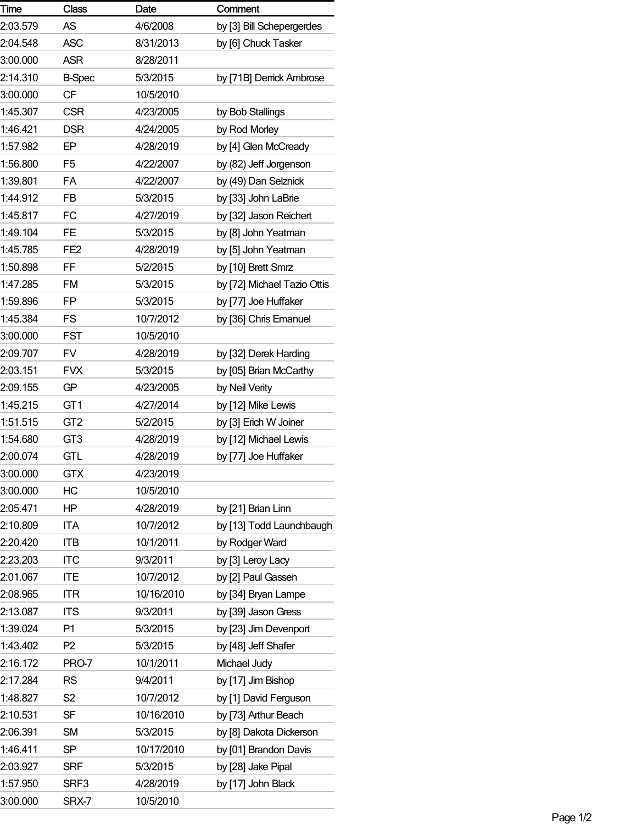| Time     | <b>Class</b>    | Date       | Comment                     |
|----------|-----------------|------------|-----------------------------|
| 2:03.579 | <b>AS</b>       | 4/6/2008   | by [3] Bill Schepergerdes   |
| 2:04.548 | <b>ASC</b>      | 8/31/2013  | by [6] Chuck Tasker         |
| 3:00.000 | <b>ASR</b>      | 8/28/2011  |                             |
| 2:14.310 | <b>B-Spec</b>   | 5/3/2015   | by [71B] Derrick Ambrose    |
| 3:00.000 | <b>CF</b>       | 10/5/2010  |                             |
| 1:45.307 | <b>CSR</b>      | 4/23/2005  | by Bob Stallings            |
| 1:46.421 | <b>DSR</b>      | 4/24/2005  | by Rod Morley               |
| 1:57.982 | EP              | 4/28/2019  | by [4] Glen McCready        |
| 1:56.800 | F <sub>5</sub>  | 4/22/2007  | by (82) Jeff Jorgenson      |
| 1:39.801 | <b>FA</b>       | 4/22/2007  | by (49) Dan Selznick        |
| 1:44.912 | <b>FB</b>       | 5/3/2015   | by [33] John LaBrie         |
| 1:45.817 | FC              | 4/27/2019  | by [32] Jason Reichert      |
| 1:49.104 | <b>FE</b>       | 5/3/2015   | by [8] John Yeatman         |
| 1:45.785 | FE <sub>2</sub> | 4/28/2019  | by [5] John Yeatman         |
| 1:50.898 | FF              | 5/2/2015   | by [10] Brett Smrz          |
| 1:47.285 | <b>FM</b>       | 5/3/2015   | by [72] Michael Tazio Ottis |
| 1:59.896 | FP              | 5/3/2015   | by [77] Joe Huffaker        |
| 1:45.384 | FS              | 10/7/2012  | by [36] Chris Emanuel       |
| 3:00.000 | <b>FST</b>      | 10/5/2010  |                             |
| 2:09.707 | FV              | 4/28/2019  | by [32] Derek Harding       |
| 2:03.151 | <b>FVX</b>      | 5/3/2015   | by [05] Brian McCarthy      |
| 2:09.155 | GP              | 4/23/2005  | by Neil Verity              |
| 1:45.215 | GT <sub>1</sub> | 4/27/2014  | by [12] Mike Lewis          |
| 1:51.515 | GT <sub>2</sub> | 5/2/2015   | by [3] Erich W Joiner       |
| 1:54.680 | GT <sub>3</sub> | 4/28/2019  | by [12] Michael Lewis       |
| 2:00.074 | <b>GTL</b>      | 4/28/2019  | by [77] Joe Huffaker        |
| 3:00.000 | <b>GTX</b>      | 4/23/2019  |                             |
| 3:00.000 | HC              | 10/5/2010  |                             |
| 2:05.471 | HP              | 4/28/2019  | by [21] Brian Linn          |
| 2:10.809 | <b>ITA</b>      | 10/7/2012  | by [13] Todd Launchbaugh    |
| 2:20.420 | <b>ITB</b>      | 10/1/2011  | by Rodger Ward              |
| 2:23.203 | <b>ITC</b>      | 9/3/2011   | by [3] Leroy Lacy           |
| 2:01.067 | <b>ITE</b>      | 10/7/2012  | by [2] Paul Gassen          |
| 2:08.965 | <b>ITR</b>      | 10/16/2010 | by [34] Bryan Lampe         |
| 2:13.087 | <b>ITS</b>      | 9/3/2011   | by [39] Jason Gress         |
| 1:39.024 | P1              | 5/3/2015   | by [23] Jim Devenport       |
| 1:43.402 | P <sub>2</sub>  | 5/3/2015   | by [48] Jeff Shafer         |
| 2:16.172 | PRO-7           | 10/1/2011  | Michael Judy                |
| 2:17.284 | <b>RS</b>       | 9/4/2011   | by [17] Jim Bishop          |
| 1:48.827 | S <sub>2</sub>  | 10/7/2012  | by [1] David Ferguson       |
| 2:10.531 | <b>SF</b>       | 10/16/2010 | by [73] Arthur Beach        |
| 2:06.391 | <b>SM</b>       | 5/3/2015   | by [8] Dakota Dickerson     |
| 1:46.411 | <b>SP</b>       | 10/17/2010 | by [01] Brandon Davis       |
| 2:03.927 | <b>SRF</b>      | 5/3/2015   | by [28] Jake Pipal          |
| 1:57.950 | SRF3            | 4/28/2019  | by [17] John Black          |
| 3:00.000 | SRX-7           | 10/5/2010  |                             |